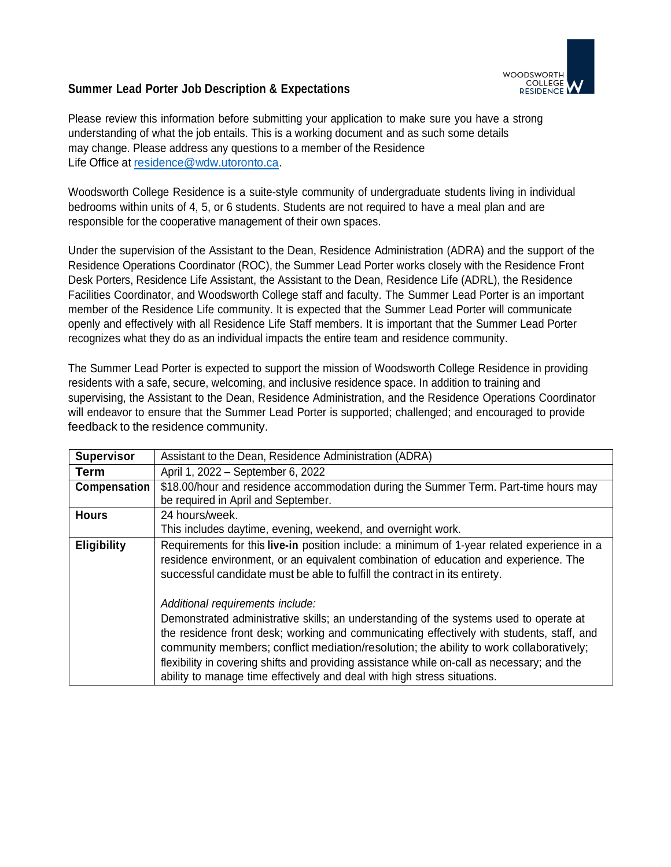

## **Summer Lead Porter Job Description & Expectations**

Please review this information before submitting your application to make sure you have a strong understanding of what the job entails. This is a working document and as such some details may change. Please address any questions to a member of the Residence Life Office at [residence@wdw.utoronto.ca.](mailto:residence@wdw.utoronto.ca)

Woodsworth College Residence is a suite-style community of undergraduate students living in individual bedrooms within units of 4, 5, or 6 students. Students are not required to have a meal plan and are responsible for the cooperative management of their own spaces.

Under the supervision of the Assistant to the Dean, Residence Administration (ADRA) and the support of the Residence Operations Coordinator (ROC), the Summer Lead Porter works closely with the Residence Front Desk Porters, Residence Life Assistant, the Assistant to the Dean, Residence Life (ADRL), the Residence Facilities Coordinator, and Woodsworth College staff and faculty. The Summer Lead Porter is an important member of the Residence Life community. It is expected that the Summer Lead Porter will communicate openly and effectively with all Residence Life Staff members. It is important that the Summer Lead Porter recognizes what they do as an individual impacts the entire team and residence community.

The Summer Lead Porter is expected to support the mission of Woodsworth College Residence in providing residents with a safe, secure, welcoming, and inclusive residence space. In addition to training and supervising, the Assistant to the Dean, Residence Administration, and the Residence Operations Coordinator will endeavor to ensure that the Summer Lead Porter is supported; challenged; and encouraged to provide feedback to the residence community.

| <b>Supervisor</b>  | Assistant to the Dean, Residence Administration (ADRA)                                                                                                                                                                                                                                                                                                                                                                                                                                       |
|--------------------|----------------------------------------------------------------------------------------------------------------------------------------------------------------------------------------------------------------------------------------------------------------------------------------------------------------------------------------------------------------------------------------------------------------------------------------------------------------------------------------------|
| <b>Term</b>        | April 1, 2022 - September 6, 2022                                                                                                                                                                                                                                                                                                                                                                                                                                                            |
| Compensation       | \$18.00/hour and residence accommodation during the Summer Term. Part-time hours may                                                                                                                                                                                                                                                                                                                                                                                                         |
|                    | be required in April and September.                                                                                                                                                                                                                                                                                                                                                                                                                                                          |
| <b>Hours</b>       | 24 hours/week.                                                                                                                                                                                                                                                                                                                                                                                                                                                                               |
|                    | This includes daytime, evening, weekend, and overnight work.                                                                                                                                                                                                                                                                                                                                                                                                                                 |
| <b>Eligibility</b> | Requirements for this live-in position include: a minimum of 1-year related experience in a<br>residence environment, or an equivalent combination of education and experience. The<br>successful candidate must be able to fulfill the contract in its entirety.                                                                                                                                                                                                                            |
|                    | Additional requirements include:<br>Demonstrated administrative skills; an understanding of the systems used to operate at<br>the residence front desk; working and communicating effectively with students, staff, and<br>community members; conflict mediation/resolution; the ability to work collaboratively;<br>flexibility in covering shifts and providing assistance while on-call as necessary; and the<br>ability to manage time effectively and deal with high stress situations. |